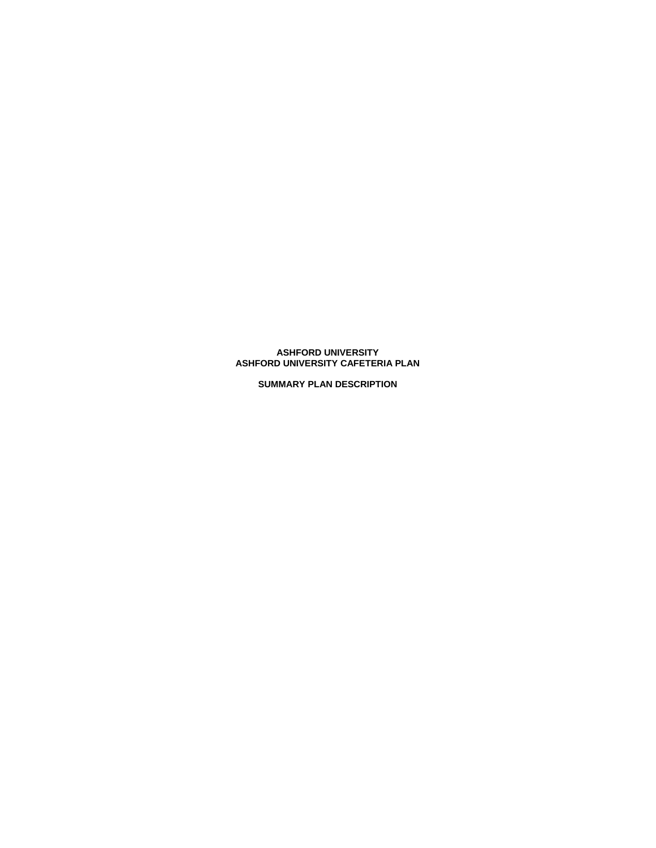# **ASHFORD UNIVERSITY ASHFORD UNIVERSITY CAFETERIA PLAN**

**SUMMARY PLAN DESCRIPTION**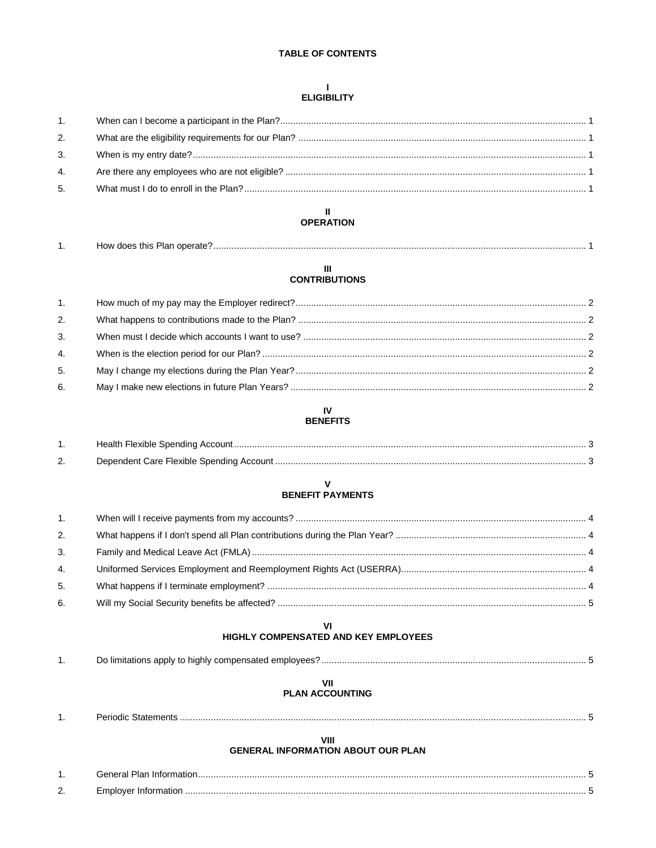# **TABLE OF CONTENTS**

# $\mathbf{L}$ **ELIGIBILITY**

| 1. |  |
|----|--|
| 2. |  |
| 3. |  |
| 4. |  |
| 5. |  |
|    |  |

# $\mathbf{H}$ **OPERATION**

|  | How does this Plan operate? |  |
|--|-----------------------------|--|
|--|-----------------------------|--|

# $\mathbf{III}$ **CONTRIBUTIONS**

| 1. |  |
|----|--|
| 2. |  |
| 3. |  |
| 4. |  |
| 5. |  |
| 6. |  |

#### IV **BENEFITS**

| Health Flexible Spending Account         |  |
|------------------------------------------|--|
| Dependent Care Flexible Spending Account |  |

# $\mathbf{V}$ **BENEFIT PAYMENTS**

| 1 <sup>1</sup> |  |
|----------------|--|
| 2.             |  |
| 3.             |  |
| 4.             |  |
| 5.             |  |
| 6.             |  |

# VI<br>HIGHLY COMPENSATED AND KEY EMPLOYEES

# $VII$

# **PLAN ACCOUNTING**

|     | eriodic |  |
|-----|---------|--|
| . . | эмененк |  |

# VIII

# **GENERAL INFORMATION ABOUT OUR PLAN**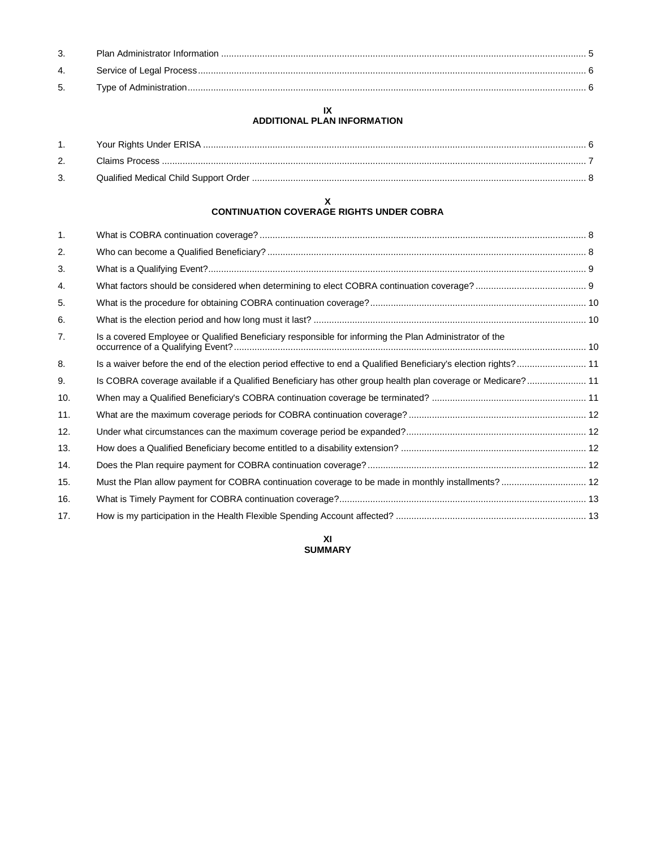| 4. |  |
|----|--|
| 5. |  |

#### **IX ADDITIONAL PLAN INFORMATION**

# **X CONTINUATION COVERAGE RIGHTS UNDER COBRA**

| 1.  |                                                                                                                  |  |
|-----|------------------------------------------------------------------------------------------------------------------|--|
| 2.  |                                                                                                                  |  |
| 3.  |                                                                                                                  |  |
| 4.  |                                                                                                                  |  |
| 5.  |                                                                                                                  |  |
| 6.  |                                                                                                                  |  |
| 7.  | Is a covered Employee or Qualified Beneficiary responsible for informing the Plan Administrator of the           |  |
| 8.  | Is a waiver before the end of the election period effective to end a Qualified Beneficiary's election rights? 11 |  |
| 9.  | Is COBRA coverage available if a Qualified Beneficiary has other group health plan coverage or Medicare? 11      |  |
| 10. |                                                                                                                  |  |
| 11. |                                                                                                                  |  |
| 12. |                                                                                                                  |  |
| 13. |                                                                                                                  |  |
| 14. |                                                                                                                  |  |
| 15. | Must the Plan allow payment for COBRA continuation coverage to be made in monthly installments? 12               |  |
| 16. |                                                                                                                  |  |
| 17. |                                                                                                                  |  |

**XI SUMMARY**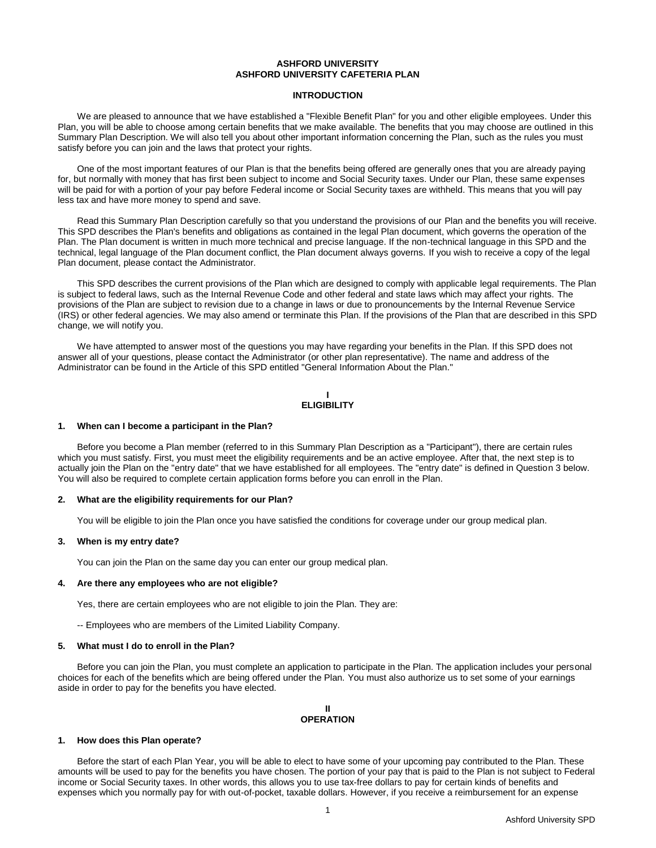# **ASHFORD UNIVERSITY ASHFORD UNIVERSITY CAFETERIA PLAN**

# **INTRODUCTION**

We are pleased to announce that we have established a "Flexible Benefit Plan" for you and other eligible employees. Under this Plan, you will be able to choose among certain benefits that we make available. The benefits that you may choose are outlined in this Summary Plan Description. We will also tell you about other important information concerning the Plan, such as the rules you must satisfy before you can join and the laws that protect your rights.

One of the most important features of our Plan is that the benefits being offered are generally ones that you are already paying for, but normally with money that has first been subject to income and Social Security taxes. Under our Plan, these same expenses will be paid for with a portion of your pay before Federal income or Social Security taxes are withheld. This means that you will pay less tax and have more money to spend and save.

Read this Summary Plan Description carefully so that you understand the provisions of our Plan and the benefits you will receive. This SPD describes the Plan's benefits and obligations as contained in the legal Plan document, which governs the operation of the Plan. The Plan document is written in much more technical and precise language. If the non-technical language in this SPD and the technical, legal language of the Plan document conflict, the Plan document always governs. If you wish to receive a copy of the legal Plan document, please contact the Administrator.

This SPD describes the current provisions of the Plan which are designed to comply with applicable legal requirements. The Plan is subject to federal laws, such as the Internal Revenue Code and other federal and state laws which may affect your rights. The provisions of the Plan are subject to revision due to a change in laws or due to pronouncements by the Internal Revenue Service (IRS) or other federal agencies. We may also amend or terminate this Plan. If the provisions of the Plan that are described in this SPD change, we will notify you.

We have attempted to answer most of the questions you may have regarding your benefits in the Plan. If this SPD does not answer all of your questions, please contact the Administrator (or other plan representative). The name and address of the Administrator can be found in the Article of this SPD entitled "General Information About the Plan."

#### **I ELIGIBILITY**

#### **1. When can I become a participant in the Plan?**

Before you become a Plan member (referred to in this Summary Plan Description as a "Participant"), there are certain rules which you must satisfy. First, you must meet the eligibility requirements and be an active employee. After that, the next step is to actually join the Plan on the "entry date" that we have established for all employees. The "entry date" is defined in Question 3 below. You will also be required to complete certain application forms before you can enroll in the Plan.

#### **2. What are the eligibility requirements for our Plan?**

You will be eligible to join the Plan once you have satisfied the conditions for coverage under our group medical plan.

#### **3. When is my entry date?**

You can join the Plan on the same day you can enter our group medical plan.

#### **4. Are there any employees who are not eligible?**

Yes, there are certain employees who are not eligible to join the Plan. They are:

-- Employees who are members of the Limited Liability Company.

#### **5. What must I do to enroll in the Plan?**

Before you can join the Plan, you must complete an application to participate in the Plan. The application includes your personal choices for each of the benefits which are being offered under the Plan. You must also authorize us to set some of your earnings aside in order to pay for the benefits you have elected.

# **II OPERATION**

## **1. How does this Plan operate?**

Before the start of each Plan Year, you will be able to elect to have some of your upcoming pay contributed to the Plan. These amounts will be used to pay for the benefits you have chosen. The portion of your pay that is paid to the Plan is not subject to Federal income or Social Security taxes. In other words, this allows you to use tax-free dollars to pay for certain kinds of benefits and expenses which you normally pay for with out-of-pocket, taxable dollars. However, if you receive a reimbursement for an expense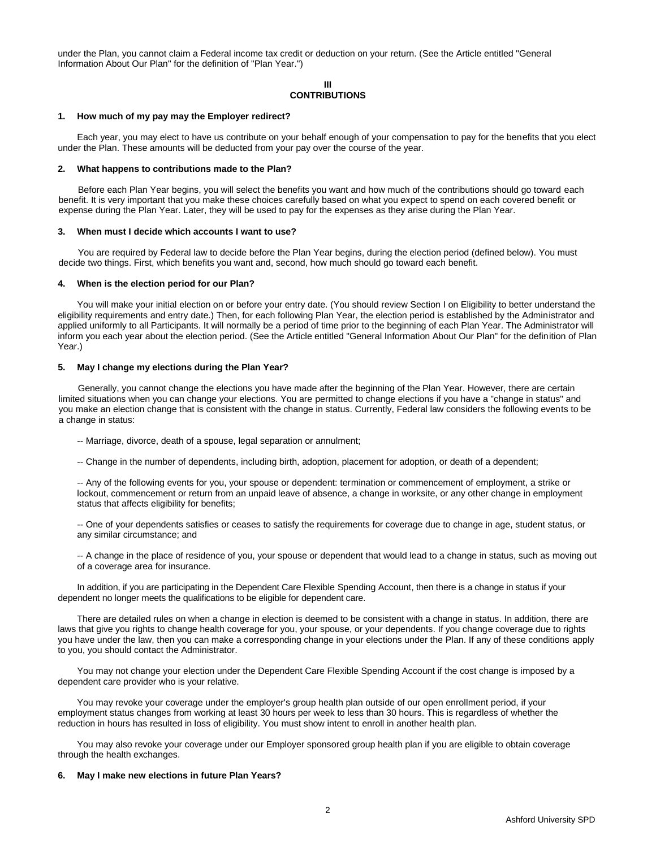under the Plan, you cannot claim a Federal income tax credit or deduction on your return. (See the Article entitled "General Information About Our Plan" for the definition of "Plan Year.")

# **III CONTRIBUTIONS**

#### **1. How much of my pay may the Employer redirect?**

Each year, you may elect to have us contribute on your behalf enough of your compensation to pay for the benefits that you elect under the Plan. These amounts will be deducted from your pay over the course of the year.

#### **2. What happens to contributions made to the Plan?**

Before each Plan Year begins, you will select the benefits you want and how much of the contributions should go toward each benefit. It is very important that you make these choices carefully based on what you expect to spend on each covered benefit or expense during the Plan Year. Later, they will be used to pay for the expenses as they arise during the Plan Year.

#### **3. When must I decide which accounts I want to use?**

You are required by Federal law to decide before the Plan Year begins, during the election period (defined below). You must decide two things. First, which benefits you want and, second, how much should go toward each benefit.

#### **4. When is the election period for our Plan?**

You will make your initial election on or before your entry date. (You should review Section I on Eligibility to better understand the eligibility requirements and entry date.) Then, for each following Plan Year, the election period is established by the Administrator and applied uniformly to all Participants. It will normally be a period of time prior to the beginning of each Plan Year. The Administrator will inform you each year about the election period. (See the Article entitled "General Information About Our Plan" for the definition of Plan Year.)

#### **5. May I change my elections during the Plan Year?**

Generally, you cannot change the elections you have made after the beginning of the Plan Year. However, there are certain limited situations when you can change your elections. You are permitted to change elections if you have a "change in status" and you make an election change that is consistent with the change in status. Currently, Federal law considers the following events to be a change in status:

-- Marriage, divorce, death of a spouse, legal separation or annulment;

-- Change in the number of dependents, including birth, adoption, placement for adoption, or death of a dependent;

-- Any of the following events for you, your spouse or dependent: termination or commencement of employment, a strike or lockout, commencement or return from an unpaid leave of absence, a change in worksite, or any other change in employment status that affects eligibility for benefits;

-- One of your dependents satisfies or ceases to satisfy the requirements for coverage due to change in age, student status, or any similar circumstance; and

-- A change in the place of residence of you, your spouse or dependent that would lead to a change in status, such as moving out of a coverage area for insurance.

In addition, if you are participating in the Dependent Care Flexible Spending Account, then there is a change in status if your dependent no longer meets the qualifications to be eligible for dependent care.

There are detailed rules on when a change in election is deemed to be consistent with a change in status. In addition, there are laws that give you rights to change health coverage for you, your spouse, or your dependents. If you change coverage due to rights you have under the law, then you can make a corresponding change in your elections under the Plan. If any of these conditions apply to you, you should contact the Administrator.

You may not change your election under the Dependent Care Flexible Spending Account if the cost change is imposed by a dependent care provider who is your relative.

You may revoke your coverage under the employer's group health plan outside of our open enrollment period, if your employment status changes from working at least 30 hours per week to less than 30 hours. This is regardless of whether the reduction in hours has resulted in loss of eligibility. You must show intent to enroll in another health plan.

You may also revoke your coverage under our Employer sponsored group health plan if you are eligible to obtain coverage through the health exchanges.

# **6. May I make new elections in future Plan Years?**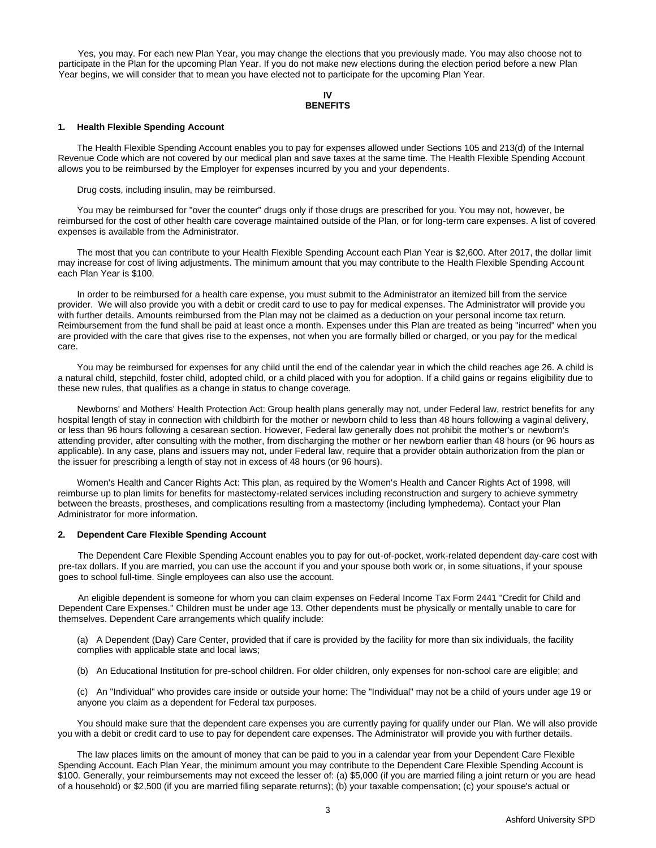Yes, you may. For each new Plan Year, you may change the elections that you previously made. You may also choose not to participate in the Plan for the upcoming Plan Year. If you do not make new elections during the election period before a new Plan Year begins, we will consider that to mean you have elected not to participate for the upcoming Plan Year.

#### **IV BENEFITS**

#### **1. Health Flexible Spending Account**

The Health Flexible Spending Account enables you to pay for expenses allowed under Sections 105 and 213(d) of the Internal Revenue Code which are not covered by our medical plan and save taxes at the same time. The Health Flexible Spending Account allows you to be reimbursed by the Employer for expenses incurred by you and your dependents.

Drug costs, including insulin, may be reimbursed.

You may be reimbursed for "over the counter" drugs only if those drugs are prescribed for you. You may not, however, be reimbursed for the cost of other health care coverage maintained outside of the Plan, or for long-term care expenses. A list of covered expenses is available from the Administrator.

The most that you can contribute to your Health Flexible Spending Account each Plan Year is \$2,600. After 2017, the dollar limit may increase for cost of living adjustments. The minimum amount that you may contribute to the Health Flexible Spending Account each Plan Year is \$100.

In order to be reimbursed for a health care expense, you must submit to the Administrator an itemized bill from the service provider. We will also provide you with a debit or credit card to use to pay for medical expenses. The Administrator will provide you with further details. Amounts reimbursed from the Plan may not be claimed as a deduction on your personal income tax return. Reimbursement from the fund shall be paid at least once a month. Expenses under this Plan are treated as being "incurred" when you are provided with the care that gives rise to the expenses, not when you are formally billed or charged, or you pay for the medical care.

You may be reimbursed for expenses for any child until the end of the calendar year in which the child reaches age 26. A child is a natural child, stepchild, foster child, adopted child, or a child placed with you for adoption. If a child gains or regains eligibility due to these new rules, that qualifies as a change in status to change coverage.

Newborns' and Mothers' Health Protection Act: Group health plans generally may not, under Federal law, restrict benefits for any hospital length of stay in connection with childbirth for the mother or newborn child to less than 48 hours following a vaginal delivery, or less than 96 hours following a cesarean section. However, Federal law generally does not prohibit the mother's or newborn's attending provider, after consulting with the mother, from discharging the mother or her newborn earlier than 48 hours (or 96 hours as applicable). In any case, plans and issuers may not, under Federal law, require that a provider obtain authorization from the plan or the issuer for prescribing a length of stay not in excess of 48 hours (or 96 hours).

Women's Health and Cancer Rights Act: This plan, as required by the Women's Health and Cancer Rights Act of 1998, will reimburse up to plan limits for benefits for mastectomy-related services including reconstruction and surgery to achieve symmetry between the breasts, prostheses, and complications resulting from a mastectomy (including lymphedema). Contact your Plan Administrator for more information.

#### **2. Dependent Care Flexible Spending Account**

The Dependent Care Flexible Spending Account enables you to pay for out-of-pocket, work-related dependent day-care cost with pre-tax dollars. If you are married, you can use the account if you and your spouse both work or, in some situations, if your spouse goes to school full-time. Single employees can also use the account.

An eligible dependent is someone for whom you can claim expenses on Federal Income Tax Form 2441 "Credit for Child and Dependent Care Expenses." Children must be under age 13. Other dependents must be physically or mentally unable to care for themselves. Dependent Care arrangements which qualify include:

(a) A Dependent (Day) Care Center, provided that if care is provided by the facility for more than six individuals, the facility complies with applicable state and local laws;

(b) An Educational Institution for pre-school children. For older children, only expenses for non-school care are eligible; and

(c) An "Individual" who provides care inside or outside your home: The "Individual" may not be a child of yours under age 19 or anyone you claim as a dependent for Federal tax purposes.

You should make sure that the dependent care expenses you are currently paying for qualify under our Plan. We will also provide you with a debit or credit card to use to pay for dependent care expenses. The Administrator will provide you with further details.

The law places limits on the amount of money that can be paid to you in a calendar year from your Dependent Care Flexible Spending Account. Each Plan Year, the minimum amount you may contribute to the Dependent Care Flexible Spending Account is \$100. Generally, your reimbursements may not exceed the lesser of: (a) \$5,000 (if you are married filing a joint return or you are head of a household) or \$2,500 (if you are married filing separate returns); (b) your taxable compensation; (c) your spouse's actual or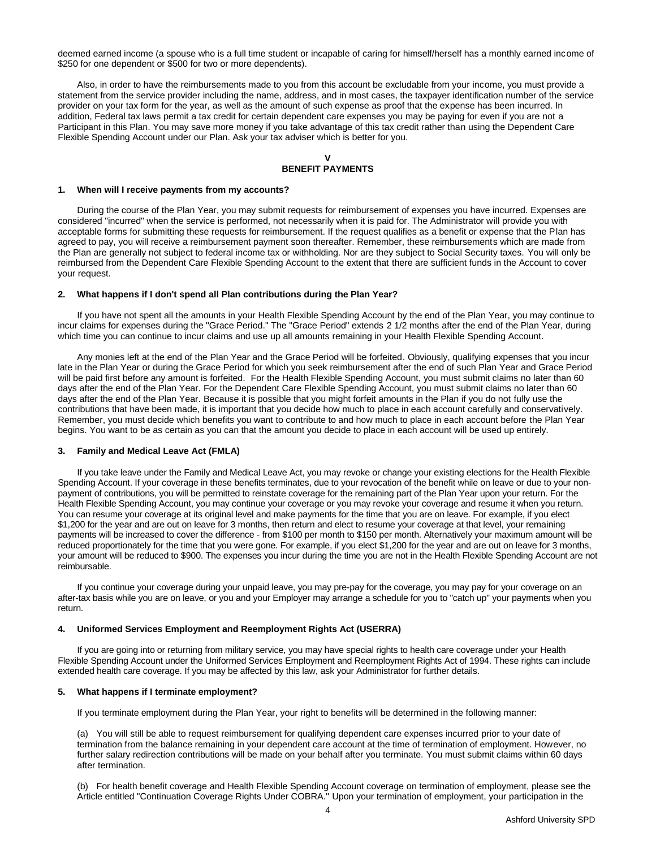deemed earned income (a spouse who is a full time student or incapable of caring for himself/herself has a monthly earned income of \$250 for one dependent or \$500 for two or more dependents).

Also, in order to have the reimbursements made to you from this account be excludable from your income, you must provide a statement from the service provider including the name, address, and in most cases, the taxpayer identification number of the service provider on your tax form for the year, as well as the amount of such expense as proof that the expense has been incurred. In addition, Federal tax laws permit a tax credit for certain dependent care expenses you may be paying for even if you are not a Participant in this Plan. You may save more money if you take advantage of this tax credit rather than using the Dependent Care Flexible Spending Account under our Plan. Ask your tax adviser which is better for you.

# **V BENEFIT PAYMENTS**

#### **1. When will I receive payments from my accounts?**

During the course of the Plan Year, you may submit requests for reimbursement of expenses you have incurred. Expenses are considered "incurred" when the service is performed, not necessarily when it is paid for. The Administrator will provide you with acceptable forms for submitting these requests for reimbursement. If the request qualifies as a benefit or expense that the Plan has agreed to pay, you will receive a reimbursement payment soon thereafter. Remember, these reimbursements which are made from the Plan are generally not subject to federal income tax or withholding. Nor are they subject to Social Security taxes. You will only be reimbursed from the Dependent Care Flexible Spending Account to the extent that there are sufficient funds in the Account to cover your request.

#### **2. What happens if I don't spend all Plan contributions during the Plan Year?**

If you have not spent all the amounts in your Health Flexible Spending Account by the end of the Plan Year, you may continue to incur claims for expenses during the "Grace Period." The "Grace Period" extends 2 1/2 months after the end of the Plan Year, during which time you can continue to incur claims and use up all amounts remaining in your Health Flexible Spending Account.

Any monies left at the end of the Plan Year and the Grace Period will be forfeited. Obviously, qualifying expenses that you incur late in the Plan Year or during the Grace Period for which you seek reimbursement after the end of such Plan Year and Grace Period will be paid first before any amount is forfeited. For the Health Flexible Spending Account, you must submit claims no later than 60 days after the end of the Plan Year. For the Dependent Care Flexible Spending Account, you must submit claims no later than 60 days after the end of the Plan Year. Because it is possible that you might forfeit amounts in the Plan if you do not fully use the contributions that have been made, it is important that you decide how much to place in each account carefully and conservatively. Remember, you must decide which benefits you want to contribute to and how much to place in each account before the Plan Year begins. You want to be as certain as you can that the amount you decide to place in each account will be used up entirely.

# **3. Family and Medical Leave Act (FMLA)**

If you take leave under the Family and Medical Leave Act, you may revoke or change your existing elections for the Health Flexible Spending Account. If your coverage in these benefits terminates, due to your revocation of the benefit while on leave or due to your nonpayment of contributions, you will be permitted to reinstate coverage for the remaining part of the Plan Year upon your return. For the Health Flexible Spending Account, you may continue your coverage or you may revoke your coverage and resume it when you return. You can resume your coverage at its original level and make payments for the time that you are on leave. For example, if you elect \$1,200 for the year and are out on leave for 3 months, then return and elect to resume your coverage at that level, your remaining payments will be increased to cover the difference - from \$100 per month to \$150 per month. Alternatively your maximum amount will be reduced proportionately for the time that you were gone. For example, if you elect \$1,200 for the year and are out on leave for 3 months, your amount will be reduced to \$900. The expenses you incur during the time you are not in the Health Flexible Spending Account are not reimbursable.

If you continue your coverage during your unpaid leave, you may pre-pay for the coverage, you may pay for your coverage on an after-tax basis while you are on leave, or you and your Employer may arrange a schedule for you to "catch up" your payments when you return.

#### **4. Uniformed Services Employment and Reemployment Rights Act (USERRA)**

If you are going into or returning from military service, you may have special rights to health care coverage under your Health Flexible Spending Account under the Uniformed Services Employment and Reemployment Rights Act of 1994. These rights can include extended health care coverage. If you may be affected by this law, ask your Administrator for further details.

#### **5. What happens if I terminate employment?**

If you terminate employment during the Plan Year, your right to benefits will be determined in the following manner:

(a) You will still be able to request reimbursement for qualifying dependent care expenses incurred prior to your date of termination from the balance remaining in your dependent care account at the time of termination of employment. However, no further salary redirection contributions will be made on your behalf after you terminate. You must submit claims within 60 days after termination.

(b) For health benefit coverage and Health Flexible Spending Account coverage on termination of employment, please see the Article entitled "Continuation Coverage Rights Under COBRA." Upon your termination of employment, your participation in the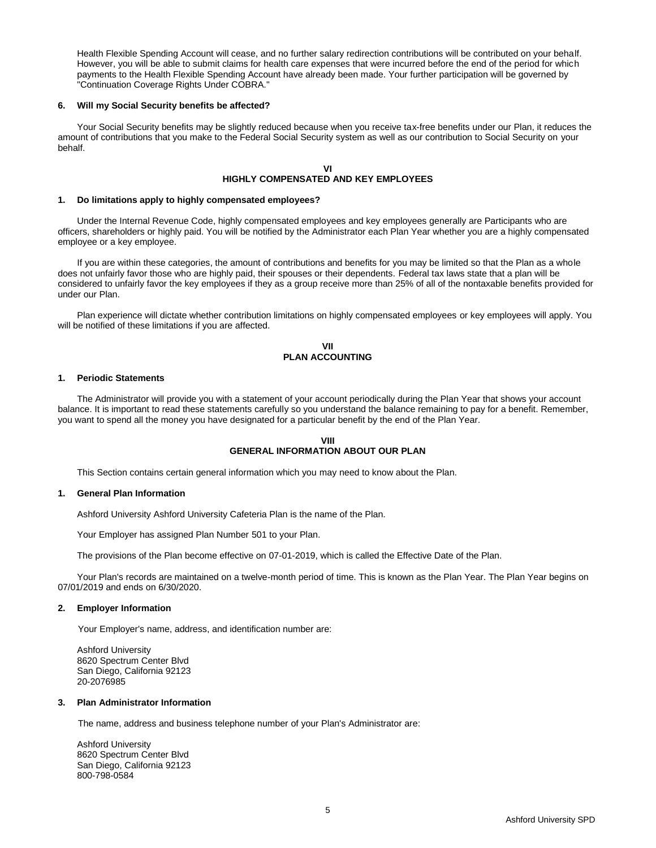Health Flexible Spending Account will cease, and no further salary redirection contributions will be contributed on your behalf. However, you will be able to submit claims for health care expenses that were incurred before the end of the period for which payments to the Health Flexible Spending Account have already been made. Your further participation will be governed by "Continuation Coverage Rights Under COBRA."

#### **6. Will my Social Security benefits be affected?**

Your Social Security benefits may be slightly reduced because when you receive tax-free benefits under our Plan, it reduces the amount of contributions that you make to the Federal Social Security system as well as our contribution to Social Security on your behalf.

#### **VI HIGHLY COMPENSATED AND KEY EMPLOYEES**

#### **1. Do limitations apply to highly compensated employees?**

Under the Internal Revenue Code, highly compensated employees and key employees generally are Participants who are officers, shareholders or highly paid. You will be notified by the Administrator each Plan Year whether you are a highly compensated employee or a key employee.

If you are within these categories, the amount of contributions and benefits for you may be limited so that the Plan as a whole does not unfairly favor those who are highly paid, their spouses or their dependents. Federal tax laws state that a plan will be considered to unfairly favor the key employees if they as a group receive more than 25% of all of the nontaxable benefits provided for under our Plan.

Plan experience will dictate whether contribution limitations on highly compensated employees or key employees will apply. You will be notified of these limitations if you are affected.

# **VII PLAN ACCOUNTING**

#### **1. Periodic Statements**

The Administrator will provide you with a statement of your account periodically during the Plan Year that shows your account balance. It is important to read these statements carefully so you understand the balance remaining to pay for a benefit. Remember, you want to spend all the money you have designated for a particular benefit by the end of the Plan Year.

# **VIII GENERAL INFORMATION ABOUT OUR PLAN**

This Section contains certain general information which you may need to know about the Plan.

# **1. General Plan Information**

Ashford University Ashford University Cafeteria Plan is the name of the Plan.

Your Employer has assigned Plan Number 501 to your Plan.

The provisions of the Plan become effective on 07-01-2019, which is called the Effective Date of the Plan.

Your Plan's records are maintained on a twelve-month period of time. This is known as the Plan Year. The Plan Year begins on 07/01/2019 and ends on 6/30/2020.

# **2. Employer Information**

Your Employer's name, address, and identification number are:

Ashford University 8620 Spectrum Center Blvd San Diego, California 92123 20-2076985

## **3. Plan Administrator Information**

The name, address and business telephone number of your Plan's Administrator are:

Ashford University 8620 Spectrum Center Blvd San Diego, California 92123 800-798-0584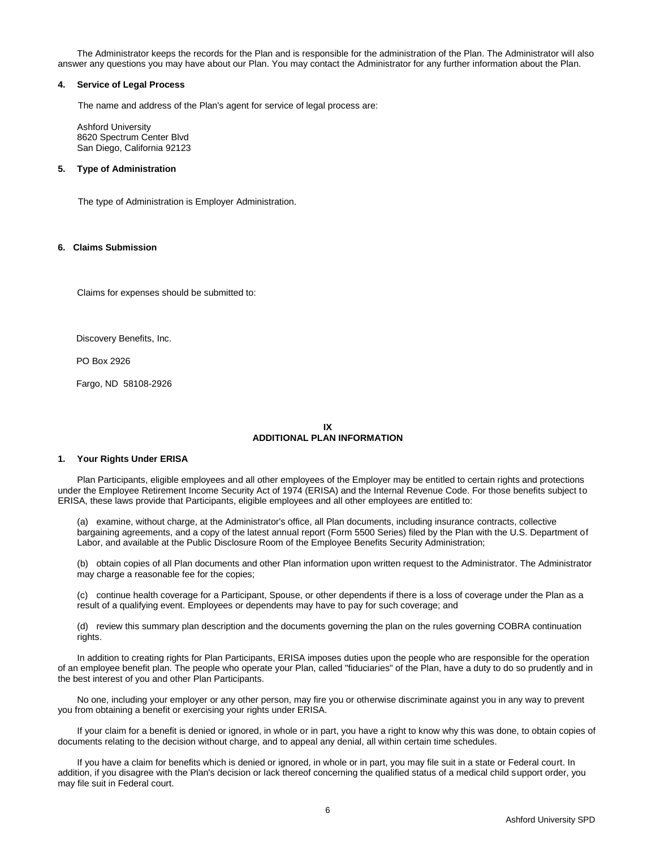The Administrator keeps the records for the Plan and is responsible for the administration of the Plan. The Administrator will also answer any questions you may have about our Plan. You may contact the Administrator for any further information about the Plan.

# **4. Service of Legal Process**

The name and address of the Plan's agent for service of legal process are:

Ashford University 8620 Spectrum Center Blvd San Diego, California 92123

# **5. Type of Administration**

The type of Administration is Employer Administration.

# **6. Claims Submission**

Claims for expenses should be submitted to:

Discovery Benefits, Inc.

PO Box 2926

Fargo, ND 58108-2926

# **IX ADDITIONAL PLAN INFORMATION**

#### **1. Your Rights Under ERISA**

Plan Participants, eligible employees and all other employees of the Employer may be entitled to certain rights and protections under the Employee Retirement Income Security Act of 1974 (ERISA) and the Internal Revenue Code. For those benefits subject to ERISA, these laws provide that Participants, eligible employees and all other employees are entitled to:

(a) examine, without charge, at the Administrator's office, all Plan documents, including insurance contracts, collective bargaining agreements, and a copy of the latest annual report (Form 5500 Series) filed by the Plan with the U.S. Department of Labor, and available at the Public Disclosure Room of the Employee Benefits Security Administration;

(b) obtain copies of all Plan documents and other Plan information upon written request to the Administrator. The Administrator may charge a reasonable fee for the copies;

(c) continue health coverage for a Participant, Spouse, or other dependents if there is a loss of coverage under the Plan as a result of a qualifying event. Employees or dependents may have to pay for such coverage; and

(d) review this summary plan description and the documents governing the plan on the rules governing COBRA continuation rights.

In addition to creating rights for Plan Participants, ERISA imposes duties upon the people who are responsible for the operation of an employee benefit plan. The people who operate your Plan, called "fiduciaries" of the Plan, have a duty to do so prudently and in the best interest of you and other Plan Participants.

No one, including your employer or any other person, may fire you or otherwise discriminate against you in any way to prevent you from obtaining a benefit or exercising your rights under ERISA.

If your claim for a benefit is denied or ignored, in whole or in part, you have a right to know why this was done, to obtain copies of documents relating to the decision without charge, and to appeal any denial, all within certain time schedules.

If you have a claim for benefits which is denied or ignored, in whole or in part, you may file suit in a state or Federal court. In addition, if you disagree with the Plan's decision or lack thereof concerning the qualified status of a medical child support order, you may file suit in Federal court.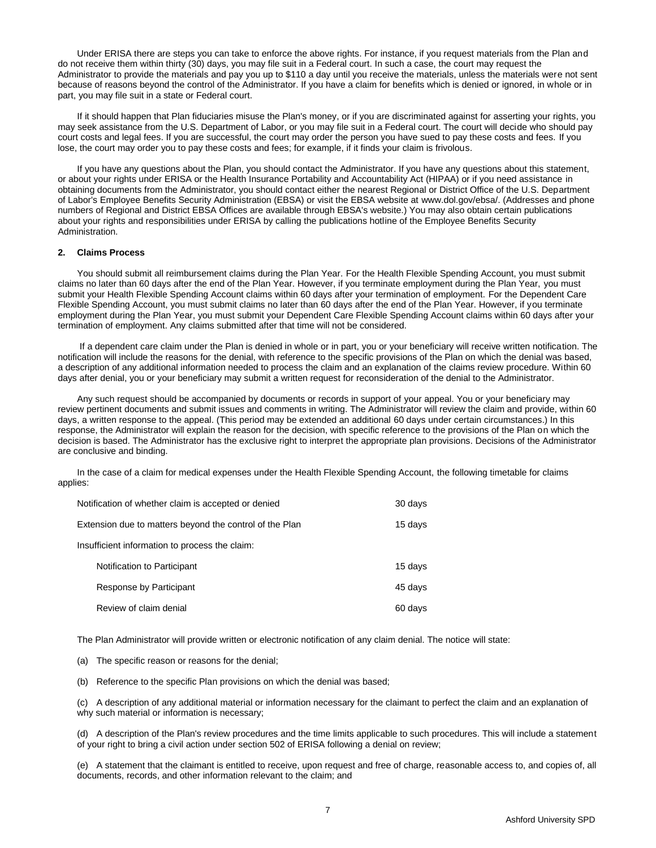Under ERISA there are steps you can take to enforce the above rights. For instance, if you request materials from the Plan and do not receive them within thirty (30) days, you may file suit in a Federal court. In such a case, the court may request the Administrator to provide the materials and pay you up to \$110 a day until you receive the materials, unless the materials were not sent because of reasons beyond the control of the Administrator. If you have a claim for benefits which is denied or ignored, in whole or in part, you may file suit in a state or Federal court.

If it should happen that Plan fiduciaries misuse the Plan's money, or if you are discriminated against for asserting your rights, you may seek assistance from the U.S. Department of Labor, or you may file suit in a Federal court. The court will decide who should pay court costs and legal fees. If you are successful, the court may order the person you have sued to pay these costs and fees. If you lose, the court may order you to pay these costs and fees; for example, if it finds your claim is frivolous.

If you have any questions about the Plan, you should contact the Administrator. If you have any questions about this statement, or about your rights under ERISA or the Health Insurance Portability and Accountability Act (HIPAA) or if you need assistance in obtaining documents from the Administrator, you should contact either the nearest Regional or District Office of the U.S. Department of Labor's Employee Benefits Security Administration (EBSA) or visit the EBSA website at [www.dol.gov/ebsa/.](http://www.dol.gov/ebsa) (Addresses and phone numbers of Regional and District EBSA Offices are available through EBSA's website.) You may also obtain certain publications about your rights and responsibilities under ERISA by calling the publications hotline of the Employee Benefits Security Administration.

## **2. Claims Process**

You should submit all reimbursement claims during the Plan Year. For the Health Flexible Spending Account, you must submit claims no later than 60 days after the end of the Plan Year. However, if you terminate employment during the Plan Year, you must submit your Health Flexible Spending Account claims within 60 days after your termination of employment. For the Dependent Care Flexible Spending Account, you must submit claims no later than 60 days after the end of the Plan Year. However, if you terminate employment during the Plan Year, you must submit your Dependent Care Flexible Spending Account claims within 60 days after your termination of employment. Any claims submitted after that time will not be considered.

If a dependent care claim under the Plan is denied in whole or in part, you or your beneficiary will receive written notification. The notification will include the reasons for the denial, with reference to the specific provisions of the Plan on which the denial was based, a description of any additional information needed to process the claim and an explanation of the claims review procedure. Within 60 days after denial, you or your beneficiary may submit a written request for reconsideration of the denial to the Administrator.

Any such request should be accompanied by documents or records in support of your appeal. You or your beneficiary may review pertinent documents and submit issues and comments in writing. The Administrator will review the claim and provide, within 60 days, a written response to the appeal. (This period may be extended an additional 60 days under certain circumstances.) In this response, the Administrator will explain the reason for the decision, with specific reference to the provisions of the Plan on which the decision is based. The Administrator has the exclusive right to interpret the appropriate plan provisions. Decisions of the Administrator are conclusive and binding.

In the case of a claim for medical expenses under the Health Flexible Spending Account, the following timetable for claims applies:

| Notification of whether claim is accepted or denied     |                             | 30 days |
|---------------------------------------------------------|-----------------------------|---------|
| Extension due to matters beyond the control of the Plan |                             | 15 days |
| Insufficient information to process the claim:          |                             |         |
|                                                         | Notification to Participant | 15 days |
|                                                         | Response by Participant     | 45 days |
|                                                         | Review of claim denial      | 60 days |

The Plan Administrator will provide written or electronic notification of any claim denial. The notice will state:

(a) The specific reason or reasons for the denial;

(b) Reference to the specific Plan provisions on which the denial was based;

(c) A description of any additional material or information necessary for the claimant to perfect the claim and an explanation of why such material or information is necessary;

(d) A description of the Plan's review procedures and the time limits applicable to such procedures. This will include a statement of your right to bring a civil action under section 502 of ERISA following a denial on review;

(e) A statement that the claimant is entitled to receive, upon request and free of charge, reasonable access to, and copies of, all documents, records, and other information relevant to the claim; and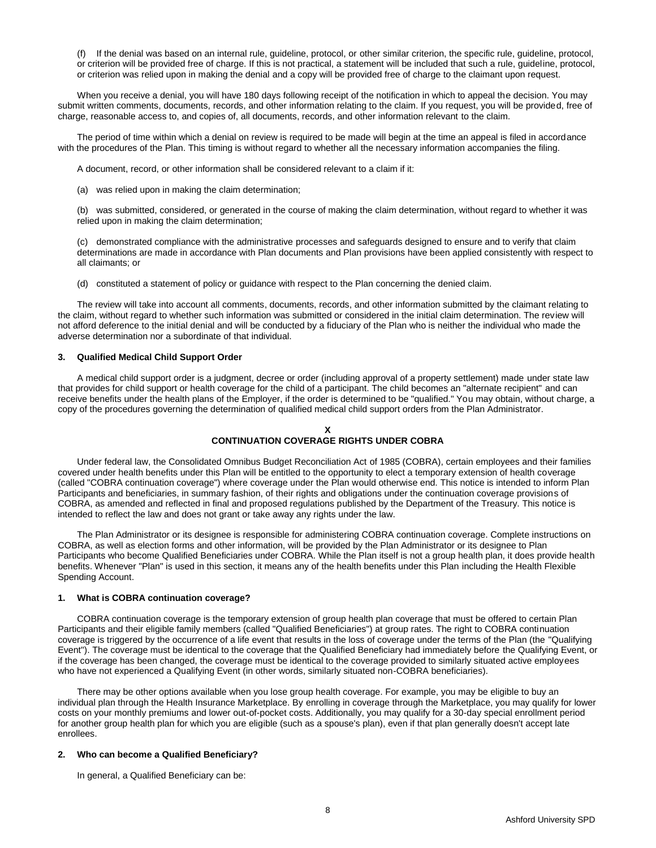(f) If the denial was based on an internal rule, guideline, protocol, or other similar criterion, the specific rule, guideline, protocol, or criterion will be provided free of charge. If this is not practical, a statement will be included that such a rule, guideline, protocol, or criterion was relied upon in making the denial and a copy will be provided free of charge to the claimant upon request.

When you receive a denial, you will have 180 days following receipt of the notification in which to appeal the decision. You may submit written comments, documents, records, and other information relating to the claim. If you request, you will be provided, free of charge, reasonable access to, and copies of, all documents, records, and other information relevant to the claim.

The period of time within which a denial on review is required to be made will begin at the time an appeal is filed in accordance with the procedures of the Plan. This timing is without regard to whether all the necessary information accompanies the filing.

A document, record, or other information shall be considered relevant to a claim if it:

(a) was relied upon in making the claim determination;

(b) was submitted, considered, or generated in the course of making the claim determination, without regard to whether it was relied upon in making the claim determination;

(c) demonstrated compliance with the administrative processes and safeguards designed to ensure and to verify that claim determinations are made in accordance with Plan documents and Plan provisions have been applied consistently with respect to all claimants; or

(d) constituted a statement of policy or guidance with respect to the Plan concerning the denied claim.

The review will take into account all comments, documents, records, and other information submitted by the claimant relating to the claim, without regard to whether such information was submitted or considered in the initial claim determination. The review will not afford deference to the initial denial and will be conducted by a fiduciary of the Plan who is neither the individual who made the adverse determination nor a subordinate of that individual.

#### **3. Qualified Medical Child Support Order**

A medical child support order is a judgment, decree or order (including approval of a property settlement) made under state law that provides for child support or health coverage for the child of a participant. The child becomes an "alternate recipient" and can receive benefits under the health plans of the Employer, if the order is determined to be "qualified." You may obtain, without charge, a copy of the procedures governing the determination of qualified medical child support orders from the Plan Administrator.

# **X CONTINUATION COVERAGE RIGHTS UNDER COBRA**

Under federal law, the Consolidated Omnibus Budget Reconciliation Act of 1985 (COBRA), certain employees and their families covered under health benefits under this Plan will be entitled to the opportunity to elect a temporary extension of health coverage (called "COBRA continuation coverage") where coverage under the Plan would otherwise end. This notice is intended to inform Plan Participants and beneficiaries, in summary fashion, of their rights and obligations under the continuation coverage provisions of COBRA, as amended and reflected in final and proposed regulations published by the Department of the Treasury. This notice is intended to reflect the law and does not grant or take away any rights under the law.

The Plan Administrator or its designee is responsible for administering COBRA continuation coverage. Complete instructions on COBRA, as well as election forms and other information, will be provided by the Plan Administrator or its designee to Plan Participants who become Qualified Beneficiaries under COBRA. While the Plan itself is not a group health plan, it does provide health benefits. Whenever "Plan" is used in this section, it means any of the health benefits under this Plan including the Health Flexible Spending Account.

# **1. What is COBRA continuation coverage?**

COBRA continuation coverage is the temporary extension of group health plan coverage that must be offered to certain Plan Participants and their eligible family members (called "Qualified Beneficiaries") at group rates. The right to COBRA continuation coverage is triggered by the occurrence of a life event that results in the loss of coverage under the terms of the Plan (the "Qualifying Event"). The coverage must be identical to the coverage that the Qualified Beneficiary had immediately before the Qualifying Event, or if the coverage has been changed, the coverage must be identical to the coverage provided to similarly situated active employees who have not experienced a Qualifying Event (in other words, similarly situated non-COBRA beneficiaries).

There may be other options available when you lose group health coverage. For example, you may be eligible to buy an individual plan through the Health Insurance Marketplace. By enrolling in coverage through the Marketplace, you may qualify for lower costs on your monthly premiums and lower out-of-pocket costs. Additionally, you may qualify for a 30-day special enrollment period for another group health plan for which you are eligible (such as a spouse's plan), even if that plan generally doesn't accept late enrollees.

## **2. Who can become a Qualified Beneficiary?**

In general, a Qualified Beneficiary can be: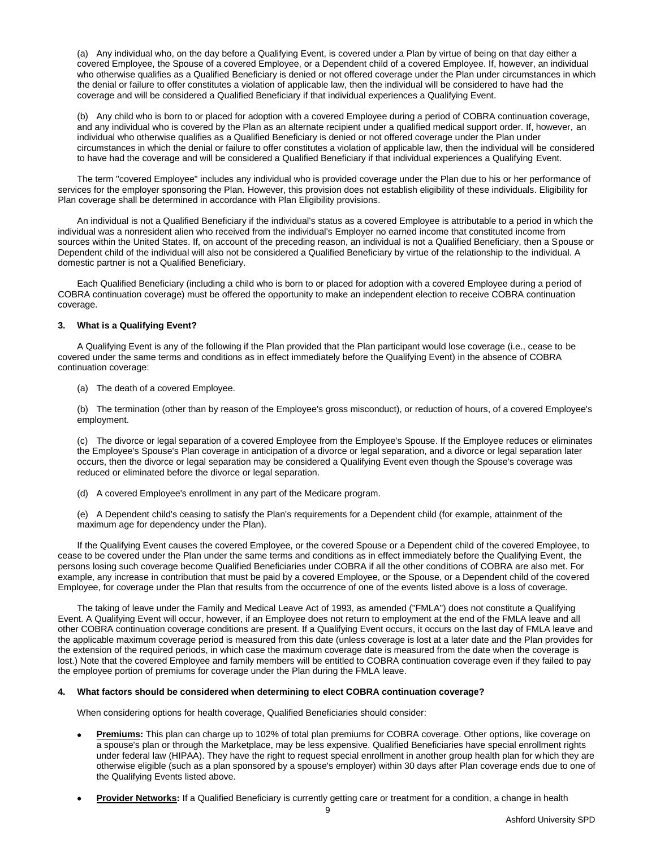(a) Any individual who, on the day before a Qualifying Event, is covered under a Plan by virtue of being on that day either a covered Employee, the Spouse of a covered Employee, or a Dependent child of a covered Employee. If, however, an individual who otherwise qualifies as a Qualified Beneficiary is denied or not offered coverage under the Plan under circumstances in which the denial or failure to offer constitutes a violation of applicable law, then the individual will be considered to have had the coverage and will be considered a Qualified Beneficiary if that individual experiences a Qualifying Event.

(b) Any child who is born to or placed for adoption with a covered Employee during a period of COBRA continuation coverage, and any individual who is covered by the Plan as an alternate recipient under a qualified medical support order. If, however, an individual who otherwise qualifies as a Qualified Beneficiary is denied or not offered coverage under the Plan under circumstances in which the denial or failure to offer constitutes a violation of applicable law, then the individual will be considered to have had the coverage and will be considered a Qualified Beneficiary if that individual experiences a Qualifying Event.

The term "covered Employee" includes any individual who is provided coverage under the Plan due to his or her performance of services for the employer sponsoring the Plan. However, this provision does not establish eligibility of these individuals. Eligibility for Plan coverage shall be determined in accordance with Plan Eligibility provisions.

An individual is not a Qualified Beneficiary if the individual's status as a covered Employee is attributable to a period in which the individual was a nonresident alien who received from the individual's Employer no earned income that constituted income from sources within the United States. If, on account of the preceding reason, an individual is not a Qualified Beneficiary, then a Spouse or Dependent child of the individual will also not be considered a Qualified Beneficiary by virtue of the relationship to the individual. A domestic partner is not a Qualified Beneficiary.

Each Qualified Beneficiary (including a child who is born to or placed for adoption with a covered Employee during a period of COBRA continuation coverage) must be offered the opportunity to make an independent election to receive COBRA continuation coverage.

# **3. What is a Qualifying Event?**

A Qualifying Event is any of the following if the Plan provided that the Plan participant would lose coverage (i.e., cease to be covered under the same terms and conditions as in effect immediately before the Qualifying Event) in the absence of COBRA continuation coverage:

(a) The death of a covered Employee.

(b) The termination (other than by reason of the Employee's gross misconduct), or reduction of hours, of a covered Employee's employment.

(c) The divorce or legal separation of a covered Employee from the Employee's Spouse. If the Employee reduces or eliminates the Employee's Spouse's Plan coverage in anticipation of a divorce or legal separation, and a divorce or legal separation later occurs, then the divorce or legal separation may be considered a Qualifying Event even though the Spouse's coverage was reduced or eliminated before the divorce or legal separation.

(d) A covered Employee's enrollment in any part of the Medicare program.

(e) A Dependent child's ceasing to satisfy the Plan's requirements for a Dependent child (for example, attainment of the maximum age for dependency under the Plan).

If the Qualifying Event causes the covered Employee, or the covered Spouse or a Dependent child of the covered Employee, to cease to be covered under the Plan under the same terms and conditions as in effect immediately before the Qualifying Event, the persons losing such coverage become Qualified Beneficiaries under COBRA if all the other conditions of COBRA are also met. For example, any increase in contribution that must be paid by a covered Employee, or the Spouse, or a Dependent child of the covered Employee, for coverage under the Plan that results from the occurrence of one of the events listed above is a loss of coverage.

The taking of leave under the Family and Medical Leave Act of 1993, as amended ("FMLA") does not constitute a Qualifying Event. A Qualifying Event will occur, however, if an Employee does not return to employment at the end of the FMLA leave and all other COBRA continuation coverage conditions are present. If a Qualifying Event occurs, it occurs on the last day of FMLA leave and the applicable maximum coverage period is measured from this date (unless coverage is lost at a later date and the Plan provides for the extension of the required periods, in which case the maximum coverage date is measured from the date when the coverage is lost.) Note that the covered Employee and family members will be entitled to COBRA continuation coverage even if they failed to pay the employee portion of premiums for coverage under the Plan during the FMLA leave.

# **4. What factors should be considered when determining to elect COBRA continuation coverage?**

When considering options for health coverage, Qualified Beneficiaries should consider:

- **Premiums:** This plan can charge up to 102% of total plan premiums for COBRA coverage. Other options, like coverage on a spouse's plan or through the Marketplace, may be less expensive. Qualified Beneficiaries have special enrollment rights under federal law (HIPAA). They have the right to request special enrollment in another group health plan for which they are otherwise eligible (such as a plan sponsored by a spouse's employer) within 30 days after Plan coverage ends due to one of the Qualifying Events listed above.
- **Provider Networks:** If a Qualified Beneficiary is currently getting care or treatment for a condition, a change in health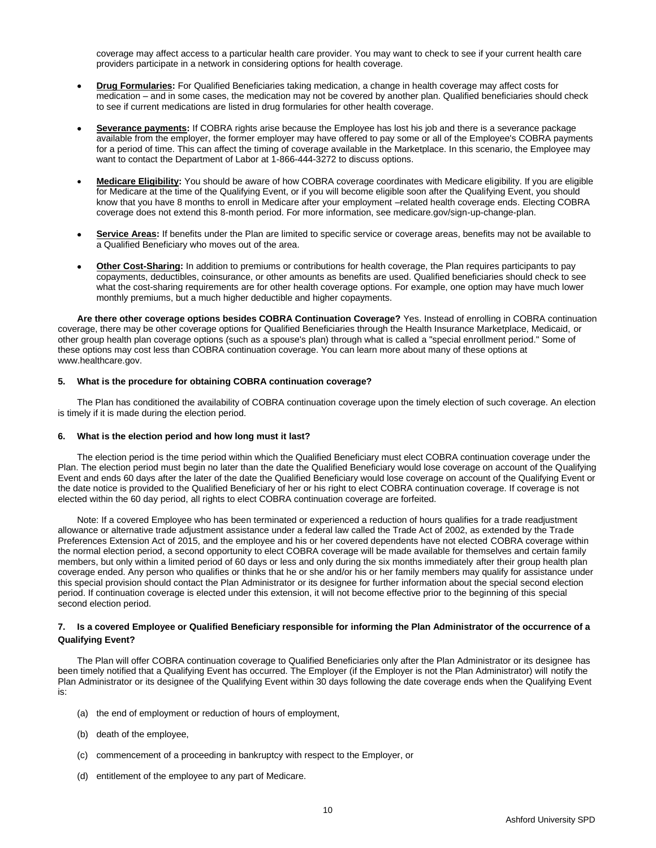coverage may affect access to a particular health care provider. You may want to check to see if your current health care providers participate in a network in considering options for health coverage.

- **Drug Formularies:** For Qualified Beneficiaries taking medication, a change in health coverage may affect costs for medication – and in some cases, the medication may not be covered by another plan. Qualified beneficiaries should check to see if current medications are listed in drug formularies for other health coverage.
- **Severance payments:** If COBRA rights arise because the Employee has lost his job and there is a severance package available from the employer, the former employer may have offered to pay some or all of the Employee's COBRA payments for a period of time. This can affect the timing of coverage available in the Marketplace. In this scenario, the Employee may want to contact the Department of Labor at 1-866-444-3272 to discuss options.
- **Medicare Eligibility:** You should be aware of how COBRA coverage coordinates with Medicare eligibility. If you are eligible for Medicare at the time of the Qualifying Event, or if you will become eligible soon after the Qualifying Event, you should know that you have 8 months to enroll in Medicare after your employment –related health coverage ends. Electing COBRA coverage does not extend this 8-month period. For more information, see medicare.gov/sign-up-change-plan.
- **Service Areas:** If benefits under the Plan are limited to specific service or coverage areas, benefits may not be available to a Qualified Beneficiary who moves out of the area.
- **Other Cost-Sharing:** In addition to premiums or contributions for health coverage, the Plan requires participants to pay copayments, deductibles, coinsurance, or other amounts as benefits are used. Qualified beneficiaries should check to see what the cost-sharing requirements are for other health coverage options. For example, one option may have much lower monthly premiums, but a much higher deductible and higher copayments.

**Are there other coverage options besides COBRA Continuation Coverage?** Yes. Instead of enrolling in COBRA continuation coverage, there may be other coverage options for Qualified Beneficiaries through the Health Insurance Marketplace, Medicaid, or other group health plan coverage options (such as a spouse's plan) through what is called a "special enrollment period." Some of these options may cost less than COBRA continuation coverage. You can learn more about many of these options at www.healthcare.gov.

#### **5. What is the procedure for obtaining COBRA continuation coverage?**

The Plan has conditioned the availability of COBRA continuation coverage upon the timely election of such coverage. An election is timely if it is made during the election period.

# **6. What is the election period and how long must it last?**

The election period is the time period within which the Qualified Beneficiary must elect COBRA continuation coverage under the Plan. The election period must begin no later than the date the Qualified Beneficiary would lose coverage on account of the Qualifying Event and ends 60 days after the later of the date the Qualified Beneficiary would lose coverage on account of the Qualifying Event or the date notice is provided to the Qualified Beneficiary of her or his right to elect COBRA continuation coverage. If coverage is not elected within the 60 day period, all rights to elect COBRA continuation coverage are forfeited.

Note: If a covered Employee who has been terminated or experienced a reduction of hours qualifies for a trade readjustment allowance or alternative trade adjustment assistance under a federal law called the Trade Act of 2002, as extended by the Trade Preferences Extension Act of 2015, and the employee and his or her covered dependents have not elected COBRA coverage within the normal election period, a second opportunity to elect COBRA coverage will be made available for themselves and certain family members, but only within a limited period of 60 days or less and only during the six months immediately after their group health plan coverage ended. Any person who qualifies or thinks that he or she and/or his or her family members may qualify for assistance under this special provision should contact the Plan Administrator or its designee for further information about the special second election period. If continuation coverage is elected under this extension, it will not become effective prior to the beginning of this special second election period.

# **7. Is a covered Employee or Qualified Beneficiary responsible for informing the Plan Administrator of the occurrence of a Qualifying Event?**

The Plan will offer COBRA continuation coverage to Qualified Beneficiaries only after the Plan Administrator or its designee has been timely notified that a Qualifying Event has occurred. The Employer (if the Employer is not the Plan Administrator) will notify the Plan Administrator or its designee of the Qualifying Event within 30 days following the date coverage ends when the Qualifying Event is:

- (a) the end of employment or reduction of hours of employment,
- (b) death of the employee,
- (c) commencement of a proceeding in bankruptcy with respect to the Employer, or
- (d) entitlement of the employee to any part of Medicare.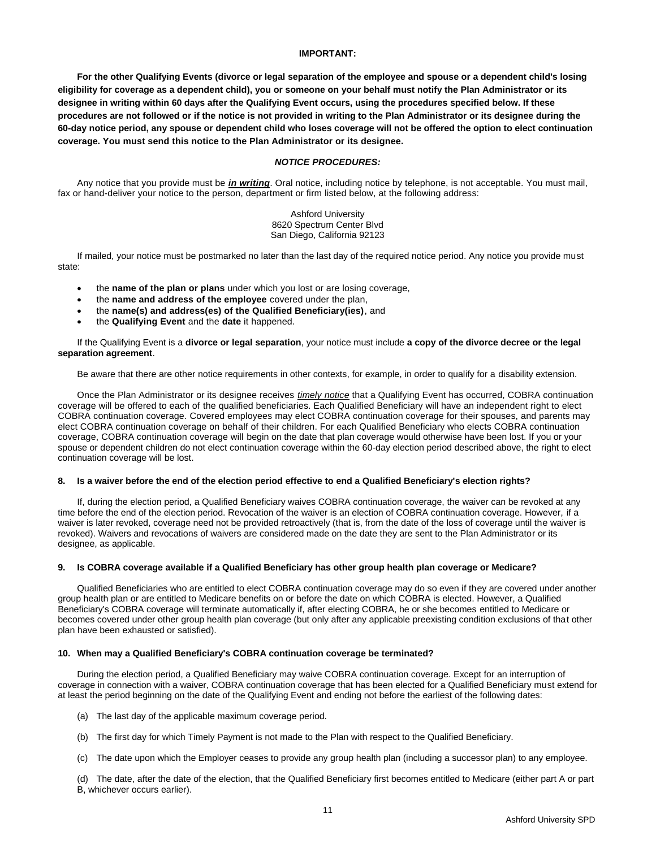# **IMPORTANT:**

**For the other Qualifying Events (divorce or legal separation of the employee and spouse or a dependent child's losing eligibility for coverage as a dependent child), you or someone on your behalf must notify the Plan Administrator or its designee in writing within 60 days after the Qualifying Event occurs, using the procedures specified below. If these procedures are not followed or if the notice is not provided in writing to the Plan Administrator or its designee during the 60-day notice period, any spouse or dependent child who loses coverage will not be offered the option to elect continuation coverage. You must send this notice to the Plan Administrator or its designee.**

# *NOTICE PROCEDURES:*

Any notice that you provide must be *in writing*. Oral notice, including notice by telephone, is not acceptable. You must mail, fax or hand-deliver your notice to the person, department or firm listed below, at the following address:

> Ashford University 8620 Spectrum Center Blvd San Diego, California 92123

If mailed, your notice must be postmarked no later than the last day of the required notice period. Any notice you provide must state:

- the **name of the plan or plans** under which you lost or are losing coverage,
- the **name and address of the employee** covered under the plan,
- the **name(s) and address(es) of the Qualified Beneficiary(ies)**, and
- the **Qualifying Event** and the **date** it happened.

If the Qualifying Event is a **divorce or legal separation**, your notice must include **a copy of the divorce decree or the legal separation agreement**.

Be aware that there are other notice requirements in other contexts, for example, in order to qualify for a disability extension.

Once the Plan Administrator or its designee receives *timely notice* that a Qualifying Event has occurred, COBRA continuation coverage will be offered to each of the qualified beneficiaries. Each Qualified Beneficiary will have an independent right to elect COBRA continuation coverage. Covered employees may elect COBRA continuation coverage for their spouses, and parents may elect COBRA continuation coverage on behalf of their children. For each Qualified Beneficiary who elects COBRA continuation coverage, COBRA continuation coverage will begin on the date that plan coverage would otherwise have been lost. If you or your spouse or dependent children do not elect continuation coverage within the 60-day election period described above, the right to elect continuation coverage will be lost.

#### **8. Is a waiver before the end of the election period effective to end a Qualified Beneficiary's election rights?**

If, during the election period, a Qualified Beneficiary waives COBRA continuation coverage, the waiver can be revoked at any time before the end of the election period. Revocation of the waiver is an election of COBRA continuation coverage. However, if a waiver is later revoked, coverage need not be provided retroactively (that is, from the date of the loss of coverage until the waiver is revoked). Waivers and revocations of waivers are considered made on the date they are sent to the Plan Administrator or its designee, as applicable.

#### **9. Is COBRA coverage available if a Qualified Beneficiary has other group health plan coverage or Medicare?**

Qualified Beneficiaries who are entitled to elect COBRA continuation coverage may do so even if they are covered under another group health plan or are entitled to Medicare benefits on or before the date on which COBRA is elected. However, a Qualified Beneficiary's COBRA coverage will terminate automatically if, after electing COBRA, he or she becomes entitled to Medicare or becomes covered under other group health plan coverage (but only after any applicable preexisting condition exclusions of that other plan have been exhausted or satisfied).

# **10. When may a Qualified Beneficiary's COBRA continuation coverage be terminated?**

During the election period, a Qualified Beneficiary may waive COBRA continuation coverage. Except for an interruption of coverage in connection with a waiver, COBRA continuation coverage that has been elected for a Qualified Beneficiary must extend for at least the period beginning on the date of the Qualifying Event and ending not before the earliest of the following dates:

- (a) The last day of the applicable maximum coverage period.
- (b) The first day for which Timely Payment is not made to the Plan with respect to the Qualified Beneficiary.
- (c) The date upon which the Employer ceases to provide any group health plan (including a successor plan) to any employee.

(d) The date, after the date of the election, that the Qualified Beneficiary first becomes entitled to Medicare (either part A or part B, whichever occurs earlier).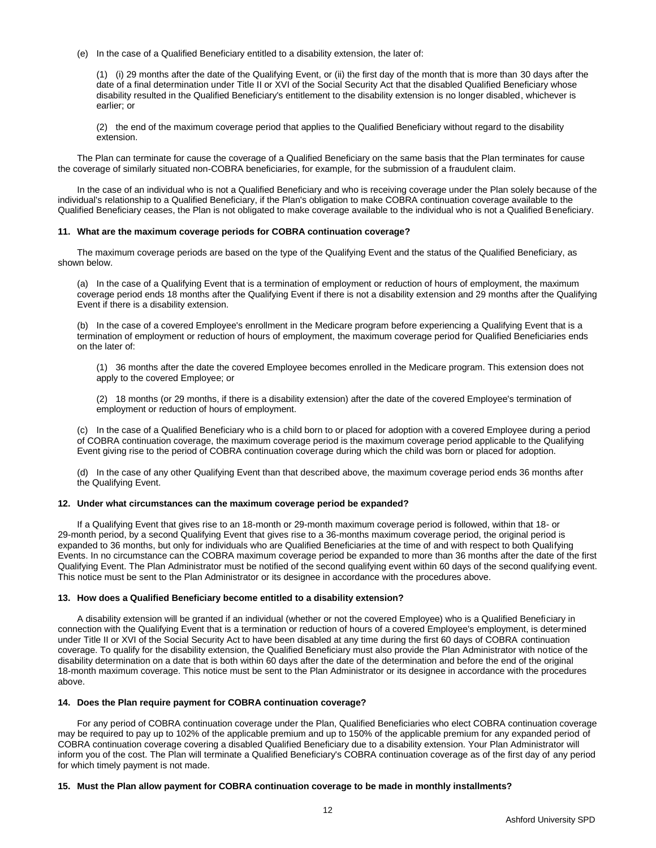(e) In the case of a Qualified Beneficiary entitled to a disability extension, the later of:

(1) (i) 29 months after the date of the Qualifying Event, or (ii) the first day of the month that is more than 30 days after the date of a final determination under Title II or XVI of the Social Security Act that the disabled Qualified Beneficiary whose disability resulted in the Qualified Beneficiary's entitlement to the disability extension is no longer disabled, whichever is earlier; or

(2) the end of the maximum coverage period that applies to the Qualified Beneficiary without regard to the disability extension.

The Plan can terminate for cause the coverage of a Qualified Beneficiary on the same basis that the Plan terminates for cause the coverage of similarly situated non-COBRA beneficiaries, for example, for the submission of a fraudulent claim.

In the case of an individual who is not a Qualified Beneficiary and who is receiving coverage under the Plan solely because of the individual's relationship to a Qualified Beneficiary, if the Plan's obligation to make COBRA continuation coverage available to the Qualified Beneficiary ceases, the Plan is not obligated to make coverage available to the individual who is not a Qualified Beneficiary.

#### **11. What are the maximum coverage periods for COBRA continuation coverage?**

The maximum coverage periods are based on the type of the Qualifying Event and the status of the Qualified Beneficiary, as shown below.

(a) In the case of a Qualifying Event that is a termination of employment or reduction of hours of employment, the maximum coverage period ends 18 months after the Qualifying Event if there is not a disability extension and 29 months after the Qualifying Event if there is a disability extension.

(b) In the case of a covered Employee's enrollment in the Medicare program before experiencing a Qualifying Event that is a termination of employment or reduction of hours of employment, the maximum coverage period for Qualified Beneficiaries ends on the later of:

(1) 36 months after the date the covered Employee becomes enrolled in the Medicare program. This extension does not apply to the covered Employee; or

(2) 18 months (or 29 months, if there is a disability extension) after the date of the covered Employee's termination of employment or reduction of hours of employment.

(c) In the case of a Qualified Beneficiary who is a child born to or placed for adoption with a covered Employee during a period of COBRA continuation coverage, the maximum coverage period is the maximum coverage period applicable to the Qualifying Event giving rise to the period of COBRA continuation coverage during which the child was born or placed for adoption.

(d) In the case of any other Qualifying Event than that described above, the maximum coverage period ends 36 months after the Qualifying Event.

#### **12. Under what circumstances can the maximum coverage period be expanded?**

If a Qualifying Event that gives rise to an 18-month or 29-month maximum coverage period is followed, within that 18- or 29-month period, by a second Qualifying Event that gives rise to a 36-months maximum coverage period, the original period is expanded to 36 months, but only for individuals who are Qualified Beneficiaries at the time of and with respect to both Qualifying Events. In no circumstance can the COBRA maximum coverage period be expanded to more than 36 months after the date of the first Qualifying Event. The Plan Administrator must be notified of the second qualifying event within 60 days of the second qualifying event. This notice must be sent to the Plan Administrator or its designee in accordance with the procedures above.

# **13. How does a Qualified Beneficiary become entitled to a disability extension?**

A disability extension will be granted if an individual (whether or not the covered Employee) who is a Qualified Beneficiary in connection with the Qualifying Event that is a termination or reduction of hours of a covered Employee's employment, is determined under Title II or XVI of the Social Security Act to have been disabled at any time during the first 60 days of COBRA continuation coverage. To qualify for the disability extension, the Qualified Beneficiary must also provide the Plan Administrator with notice of the disability determination on a date that is both within 60 days after the date of the determination and before the end of the original 18-month maximum coverage. This notice must be sent to the Plan Administrator or its designee in accordance with the procedures above.

# **14. Does the Plan require payment for COBRA continuation coverage?**

For any period of COBRA continuation coverage under the Plan, Qualified Beneficiaries who elect COBRA continuation coverage may be required to pay up to 102% of the applicable premium and up to 150% of the applicable premium for any expanded period of COBRA continuation coverage covering a disabled Qualified Beneficiary due to a disability extension. Your Plan Administrator will inform you of the cost. The Plan will terminate a Qualified Beneficiary's COBRA continuation coverage as of the first day of any period for which timely payment is not made.

12

# **15. Must the Plan allow payment for COBRA continuation coverage to be made in monthly installments?**